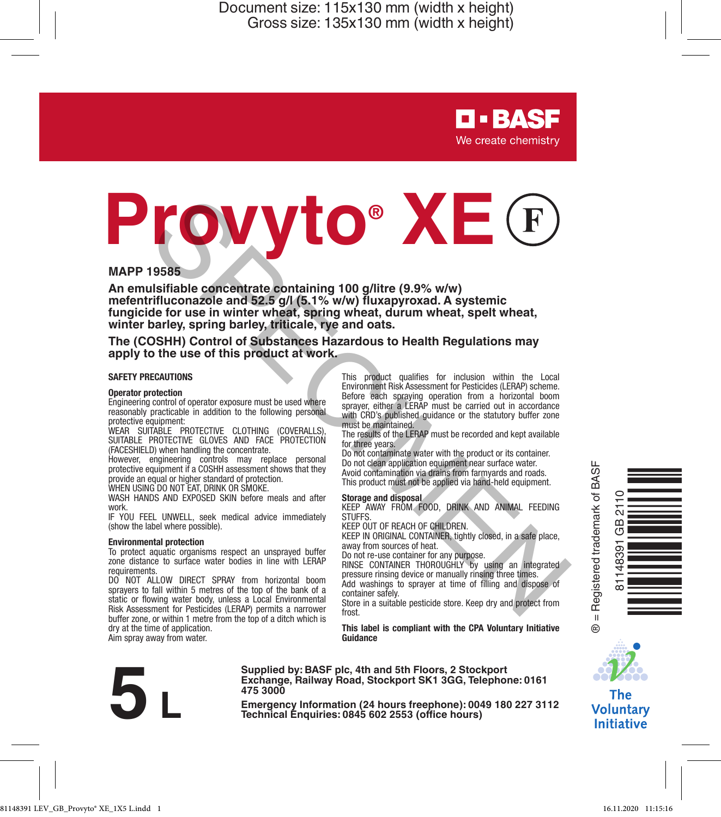

# **Provide the second state of the second state of the second state of the second state of the second state of the second state of the second state of the second state of the second state of the second state of the second st**

### **MAPP 19585**

**An emulsifiable concentrate containing 100 g/litre (9.9% w/w) mefentrifluconazole and 52.5 g/l (5.1% w/w) fluxapyroxad. A systemic fungicide for use in winter wheat, spring wheat, durum wheat, spelt wheat, winter barley, spring barley, triticale, rye and oats.**

### **The (COSHH) Control of Substances Hazardous to Health Regulations may apply to the use of this product at work.**

### **SAFETY PRECAUTIONS**

### **Operator protection**

Engineering control of operator exposure must be used where reasonably practicable in addition to the following personal protective equipment:

WEAR SUITABLE PROTECTIVE CLOTHING (COVERALLS), SUITABLE PROTECTIVE GLOVES AND FACE PROTECTION (FACESHIELD) when handling the concentrate.

However, engineering controls may replace personal protective equipment if a COSHH assessment shows that they provide an equal or higher standard of protection.

WHEN USING DO NOT EAT, DRINK OR SMOKE

WASH HANDS AND EXPOSED SKIN before meals and after work.

IF YOU FEEL UNWELL, seek medical advice immediately (show the label where possible).

### **Environmental protection**

To protect aquatic organisms respect an unsprayed buffer zone distance to surface water bodies in line with LERAP requirements.

DO NOT ALLOW DIRECT SPRAY from horizontal boom sprayers to fall within 5 metres of the top of the bank of a static or flowing water body, unless a Local Environmental Risk Assessment for Pesticides (LERAP) permits a narrower buffer zone, or within 1 metre from the top of a ditch which is dry at the time of application. Aim spray away from water.

This product qualifies for inclusion within the Local Environment Risk Assessment for Pesticides (LERAP) scheme. Before each spraying operation from a horizontal boom sprayer, either a LERAP must be carried out in accordance with CRD's published guidance or the statutory buffer zone must be maintained.

The results of the LERAP must be recorded and kept available for three years.

Do not contaminate water with the product or its container. Do not clean application equipment near surface water. Avoid contamination via drains from farmyards and roads. This product must not be applied via hand-held equipment.

### **Storage and disposal**

KEEP AWAY FROM FOOD, DRINK AND ANIMAL FEEDING **STUFFS** 

KEEP OUT OF REACH OF CHILDREN.

KEEP IN ORIGINAL CONTAINER, tightly closed, in a safe place, away from sources of heat.

Do not re-use container for any purpose. RINSE CONTAINER THOROUGHLY by using an integrated pressure rinsing device or manually rinsing three times. Add washings to sprayer at time of filling and dispose of container safely.

Store in a suitable pesticide store. Keep dry and protect from frost.

**This label is compliant with the CPA Voluntary Initiative Guidance**



**Supplied by: BASF plc, 4th and 5th Floors, 2 Stockport Exchange, Railway Road, Stockport SK1 3GG, Telephone: 0161 475 3000** Exchange, Rallway Road, Stockport SK1 3GG, Telephone: 0161<br>
475 3000<br>
Emergency Information (24 hours freephone): 0049 180 227 3112<br>
Technical Enquiries: 0845 602 2553 (office hours)





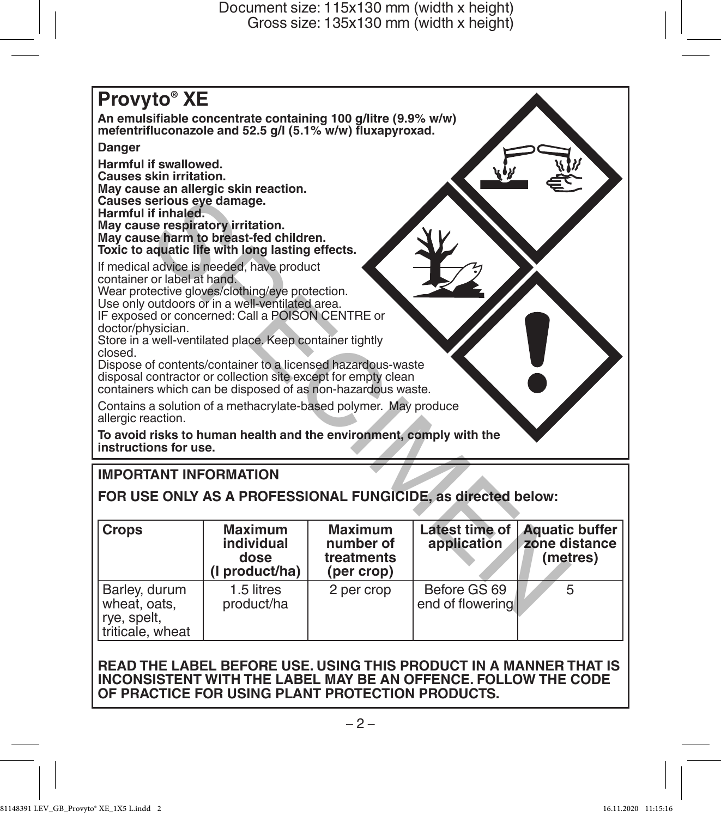

# **IMPORTANT INFORMATION**

**FOR USE ONLY AS A PROFESSIONAL FUNGICIDE, as directed below:**

| Crops                                                            | <b>Maximum</b><br>individual<br>dose<br>(I product/ha) | <b>Maximum</b><br>number of<br>treatments<br>(per crop) | application                      | Latest time of Aquatic buffer<br>zone distance<br>(metres) |
|------------------------------------------------------------------|--------------------------------------------------------|---------------------------------------------------------|----------------------------------|------------------------------------------------------------|
| Barley, durum<br>wheat, oats,<br>rve, spelt,<br>triticale, wheat | 1.5 litres<br>product/ha                               | 2 per crop                                              | Before GS 69<br>end of flowering |                                                            |

# **READ THE LABEL BEFORE USE. USING THIS PRODUCT IN A MANNER THAT IS INCONSISTENT WITH THE LABEL MAY BE AN OFFENCE. FOLLOW THE CODE OF PRACTICE FOR USING PLANT PROTECTION PRODUCTS.**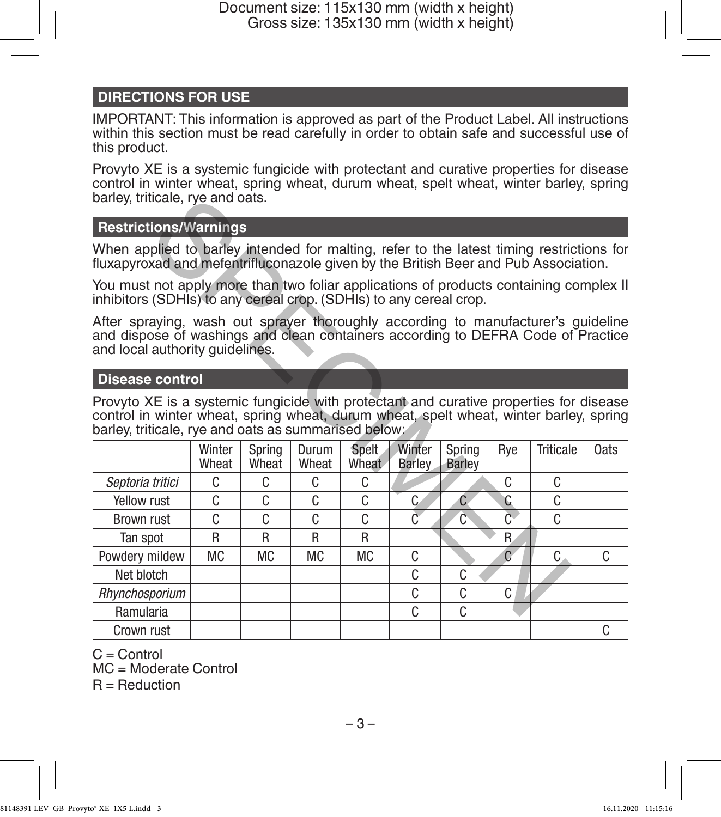# **DIRECTIONS FOR USE**

IMPORTANT: This information is approved as part of the Product Label. All instructions within this section must be read carefully in order to obtain safe and successful use of this product.

Provyto XE is a systemic fungicide with protectant and curative properties for disease control in winter wheat, spring wheat, durum wheat, spelt wheat, winter barley, spring barley, triticale, rye and oats.

# **Restrictions/Warnings**

## **Disease control**

| barley, triticale, rye and oats.                                                                                                                                                                                                         |                 |                 |                |                |                         |                         |                           |                  |      |  |  |
|------------------------------------------------------------------------------------------------------------------------------------------------------------------------------------------------------------------------------------------|-----------------|-----------------|----------------|----------------|-------------------------|-------------------------|---------------------------|------------------|------|--|--|
| <b>Restrictions/Warnings</b>                                                                                                                                                                                                             |                 |                 |                |                |                         |                         |                           |                  |      |  |  |
| When applied to barley intended for malting, refer to the latest timing restrictions for<br>fluxapyroxad and mefentrifluconazole given by the British Beer and Pub Association.                                                          |                 |                 |                |                |                         |                         |                           |                  |      |  |  |
| You must not apply more than two foliar applications of products containing complex II<br>inhibitors (SDHIs) to any cereal crop. (SDHIs) to any cereal crop.                                                                             |                 |                 |                |                |                         |                         |                           |                  |      |  |  |
| After spraying, wash out sprayer thoroughly according to manufacturer's guideline<br>and dispose of washings and clean containers according to DEFRA Code of Practice<br>and local authority quidelines.                                 |                 |                 |                |                |                         |                         |                           |                  |      |  |  |
| <b>Disease control</b>                                                                                                                                                                                                                   |                 |                 |                |                |                         |                         |                           |                  |      |  |  |
| Provyto XE is a systemic fungicide with protectant and curative properties for disease<br>control in winter wheat, spring wheat, durum wheat, spelt wheat, winter barley, spring<br>barley, triticale, rye and oats as summarised below: |                 |                 |                |                |                         |                         |                           |                  |      |  |  |
|                                                                                                                                                                                                                                          | Winter<br>Wheat | Spring<br>Wheat | Durum<br>Wheat | Spelt<br>Wheat | Winter<br><b>Barley</b> | Spring<br><b>Barley</b> | Rye                       | <b>Triticale</b> | 0ats |  |  |
| Septoria tritici                                                                                                                                                                                                                         | C               | C               | C              | C              |                         |                         | C                         | C.               |      |  |  |
| Yellow rust                                                                                                                                                                                                                              | C               | C               | C              | C              | C.                      | Ć                       | C                         | C                |      |  |  |
| Brown rust                                                                                                                                                                                                                               | C               | C               | C              | C              | Č.                      | C                       | $\overline{\mathbb{C}^+}$ | C                |      |  |  |
| Tan spot                                                                                                                                                                                                                                 | R               | R               | R              | R              |                         |                         | R.                        |                  |      |  |  |
| Powdery mildew                                                                                                                                                                                                                           | <b>MC</b>       | <b>MC</b>       | <b>MC</b>      | <b>MC</b>      | C                       |                         | $\overline{C}$            | C.               | C    |  |  |
| Net blotch                                                                                                                                                                                                                               |                 |                 |                |                | C                       | C                       |                           |                  |      |  |  |
| Rhynchosporium                                                                                                                                                                                                                           |                 |                 |                |                | C                       | C                       | C                         |                  |      |  |  |
| Ramularia                                                                                                                                                                                                                                |                 |                 |                |                | C                       | C                       |                           |                  |      |  |  |
| Crown rust                                                                                                                                                                                                                               |                 |                 |                |                |                         |                         |                           |                  | C    |  |  |

 $C =$  Control

MC = Moderate Control

 $R =$  Reduction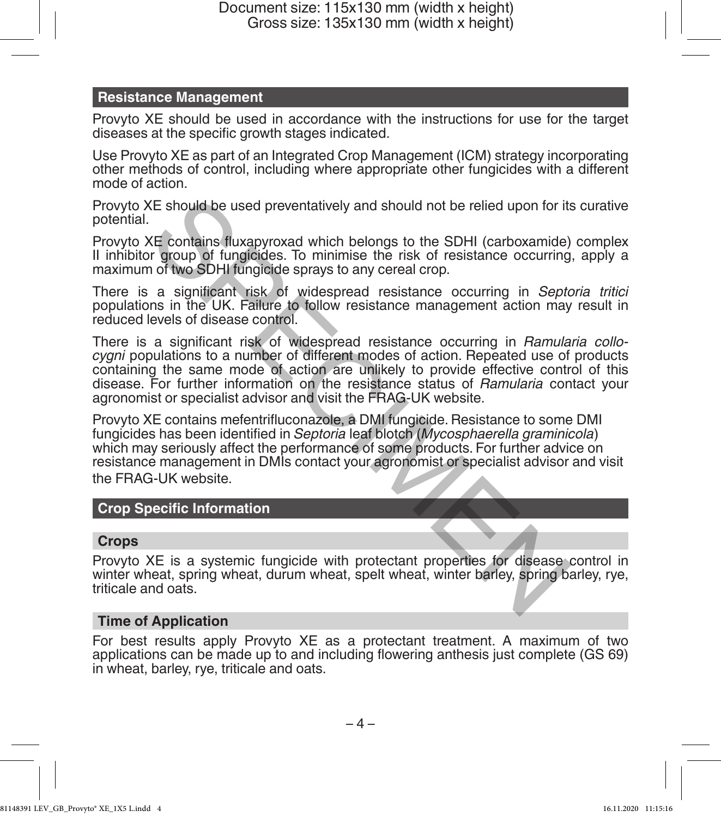# **Resistance Management**

Provyto XE should be used in accordance with the instructions for use for the target diseases at the specific growth stages indicated.

Use Provyto XE as part of an Integrated Crop Management (ICM) strategy incorporating other methods of control, including where appropriate other fungicides with a different mode of action.

Provyto XE should be used preventatively and should not be relied upon for its curative potential.

Provyto XE contains fluxapyroxad which belongs to the SDHI (carboxamide) complex II inhibitor group of fungicides. To minimise the risk of resistance occurring, apply a maximum of two SDHI fungicide sprays to any cereal crop.

There is a significant risk of widespread resistance occurring in *Septoria tritici* populations in the UK. Failure to follow resistance management action may result in reduced levels of disease control.

There is a significant risk of widespread resistance occurring in *Ramularia collocygni* populations to a number of different modes of action. Repeated use of products containing the same mode of action are unlikely to provide effective control of this disease. For further information on the resistance status of *Ramularia* contact your agronomist or specialist advisor and visit the FRAG-UK website.

Provyto XE contains mefentrifluconazole, a DMI fungicide. Resistance to some DMI fungicides has been identified in *Septoria* leaf blotch (*Mycosphaerella graminicola*) which may seriously affect the performance of some products. For further advice on resistance management in DMIs contact your agronomist or specialist advisor and visit the FRAG-UK website. KE should be used preventatively and should not be relied upon for its<br>
XE contains fluxapyroxad which belongs to the SDHI (carboxamide)<br>
The contains fluxapyroxad which belongs to the SDHI (carboxamide)<br>
The Contains flux

# **Crop Specific Information**

## **Crops**

Provyto XE is a systemic fungicide with protectant properties for disease control in winter wheat, spring wheat, durum wheat, spelt wheat, winter barley, spring barley, rye, triticale and oats.

# **Time of Application**

For best results apply Provyto XE as a protectant treatment. A maximum of two applications can be made up to and including flowering anthesis just complete (GS 69) in wheat, barley, rye, triticale and oats.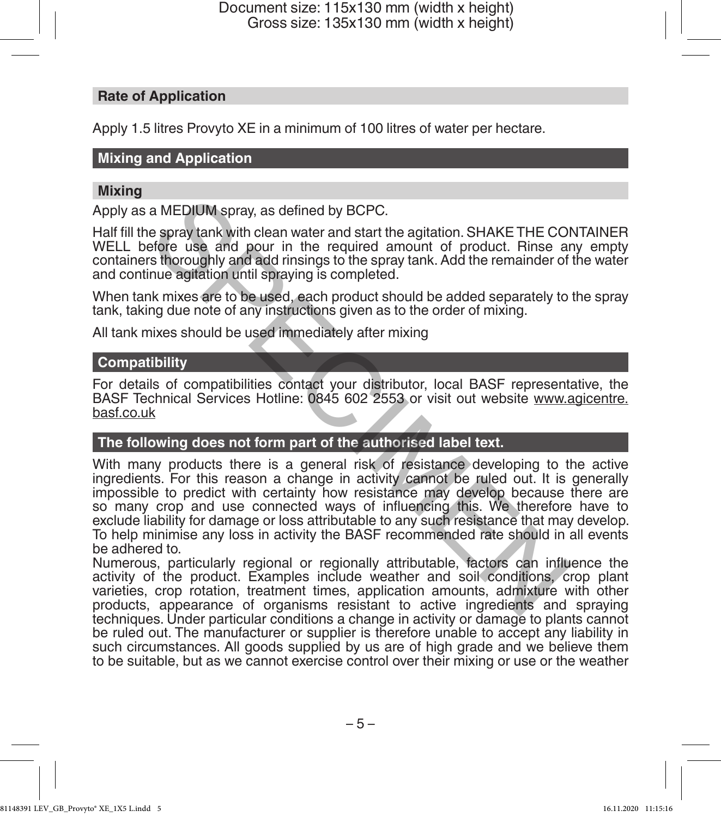# **Rate of Application**

Apply 1.5 litres Provyto XE in a minimum of 100 litres of water per hectare.

## **Mixing and Application**

## **Mixing**

Apply as a MEDIUM spray, as defined by BCPC.

Half fill the spray tank with clean water and start the agitation. SHAKE THE CONTAINER WELL before use and pour in the required amount of product. Rinse any empty containers thoroughly and add rinsings to the spray tank. Add the remainder of the water and continue agitation until spraying is completed.

When tank mixes are to be used, each product should be added separately to the spray tank, taking due note of any instructions given as to the order of mixing.

All tank mixes should be used immediately after mixing

## **Compatibility**

For details of compatibilities contact your distributor, local BASF representative, the BASF Technical Services Hotline: 0845 602 2553 or visit out website www.agicentre. basf.co.uk

# **The following does not form part of the authorised label text.**

With many products there is a general risk of resistance developing to the active ingredients. For this reason a change in activity cannot be ruled out. It is generally impossible to predict with certainty how resistance may develop because there are so many crop and use connected ways of influencing this. We therefore have to exclude liability for damage or loss attributable to any such resistance that may develop. To help minimise any loss in activity the BASF recommended rate should in all events be adhered to. a MEDIUM spray, as defined by BCPC.<br>
e spray tank with clean water and start the agitation. SHAKE THE COI<br>
efore use and pour in the required amount of product. Rinse are<br>
stronoughly and add missings to the spray tank. Ad

Numerous, particularly regional or regionally attributable, factors can influence the activity of the product. Examples include weather and soil conditions, crop plant varieties, crop rotation, treatment times, application amounts, admixture with other products, appearance of organisms resistant to active ingredients and spraying techniques. Under particular conditions a change in activity or damage to plants cannot be ruled out. The manufacturer or supplier is therefore unable to accept any liability in such circumstances. All goods supplied by us are of high grade and we believe them to be suitable, but as we cannot exercise control over their mixing or use or the weather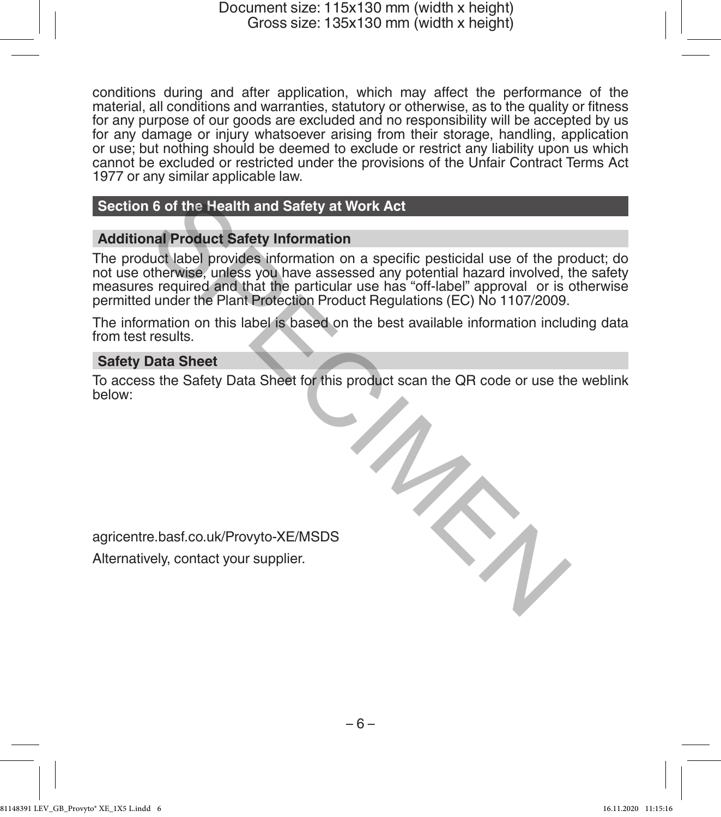conditions during and after application, which may affect the performance of the material, all conditions and warranties, statutory or otherwise, as to the quality or fitness for any purpose of our goods are excluded and no responsibility will be accepted by us for any damage or injury whatsoever arising from their storage, handling, application or use; but nothing should be deemed to exclude or restrict any liability upon us which cannot be excluded or restricted under the provisions of the Unfair Contract Terms Act 1977 or any similar applicable law.

# **Section 6 of the Health and Safety at Work Act**

# **Additional Product Safety Information**

The product label provides information on a specific pesticidal use of the product; do not use otherwise, unless you have assessed any potential hazard involved, the safety measures required and that the particular use has "off-label" approval or is otherwise permitted under the Plant Protection Product Regulations (EC) No 1107/2009. 6 of the Health and Safety at Work Act<br>
mal Product Safety Information<br>
luct label provides information on a specific pesticidal use of the pr<br>
of the price information on a specific pesticidal use of the product<br>
lucter l

The information on this label is based on the best available information including data from test results.

# **Safety Data Sheet**

To access the Safety Data Sheet for this product scan the QR code or use the weblink below:

agricentre.basf.co.uk/Provyto-XE/MSDS Alternatively, contact your supplier.